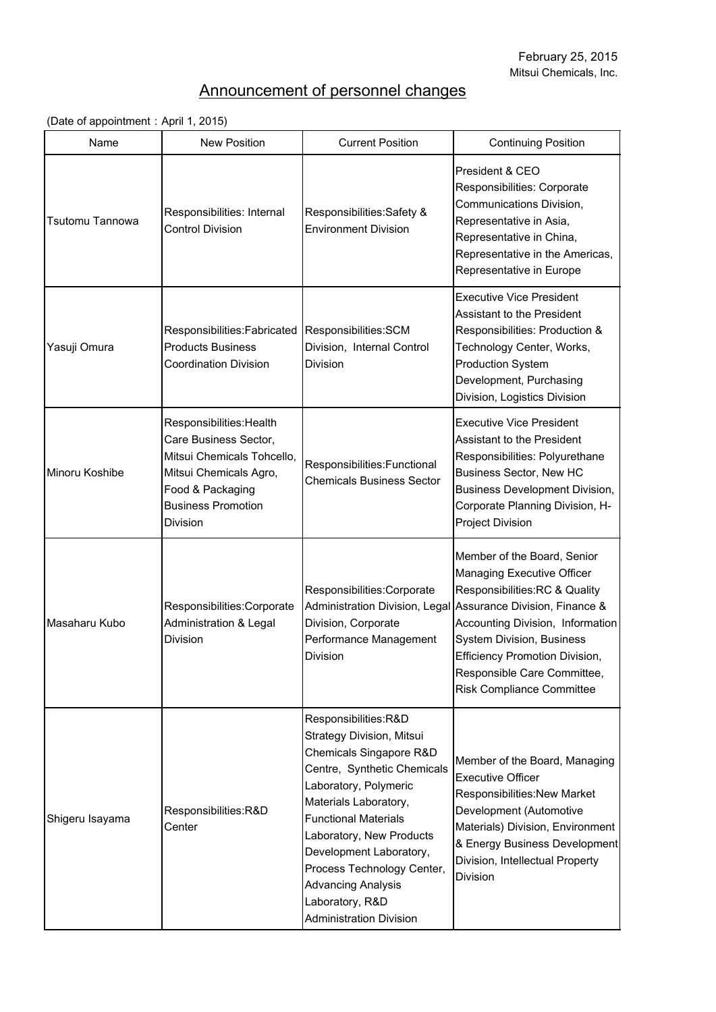## Announcement of personnel changes

## (Date of appointment: April 1, 2015)

| Name            | <b>New Position</b>                                                                                                                                                           | <b>Current Position</b>                                                                                                                                                                                                                                                                                                                                                    | <b>Continuing Position</b>                                                                                                                                                                                                                                                                                                                            |
|-----------------|-------------------------------------------------------------------------------------------------------------------------------------------------------------------------------|----------------------------------------------------------------------------------------------------------------------------------------------------------------------------------------------------------------------------------------------------------------------------------------------------------------------------------------------------------------------------|-------------------------------------------------------------------------------------------------------------------------------------------------------------------------------------------------------------------------------------------------------------------------------------------------------------------------------------------------------|
| Tsutomu Tannowa | Responsibilities: Internal<br><b>Control Division</b>                                                                                                                         | Responsibilities: Safety &<br><b>Environment Division</b>                                                                                                                                                                                                                                                                                                                  | President & CEO<br>Responsibilities: Corporate<br>Communications Division,<br>Representative in Asia,<br>Representative in China,<br>Representative in the Americas,<br>Representative in Europe                                                                                                                                                      |
| Yasuji Omura    | Responsibilities: Fabricated   Responsibilities: SCM<br><b>Products Business</b><br><b>Coordination Division</b>                                                              | Division, Internal Control<br><b>Division</b>                                                                                                                                                                                                                                                                                                                              | <b>Executive Vice President</b><br><b>Assistant to the President</b><br>Responsibilities: Production &<br>Technology Center, Works,<br><b>Production System</b><br>Development, Purchasing<br>Division, Logistics Division                                                                                                                            |
| Minoru Koshibe  | Responsibilities: Health<br>Care Business Sector,<br>Mitsui Chemicals Tohcello,<br>Mitsui Chemicals Agro,<br>Food & Packaging<br><b>Business Promotion</b><br><b>Division</b> | Responsibilities: Functional<br><b>Chemicals Business Sector</b>                                                                                                                                                                                                                                                                                                           | <b>Executive Vice President</b><br><b>Assistant to the President</b><br>Responsibilities: Polyurethane<br><b>Business Sector, New HC</b><br><b>Business Development Division,</b><br>Corporate Planning Division, H-<br><b>Project Division</b>                                                                                                       |
| Masaharu Kubo   | Responsibilities: Corporate<br><b>Administration &amp; Legal</b><br><b>Division</b>                                                                                           | Responsibilities:Corporate<br>Division, Corporate<br>Performance Management<br><b>Division</b>                                                                                                                                                                                                                                                                             | Member of the Board, Senior<br><b>Managing Executive Officer</b><br>Responsibilities:RC & Quality<br>Administration Division, Legal Assurance Division, Finance &<br>Accounting Division, Information<br><b>System Division, Business</b><br><b>Efficiency Promotion Division,</b><br>Responsible Care Committee,<br><b>Risk Compliance Committee</b> |
| Shigeru Isayama | Responsibilities:R&D<br>Center                                                                                                                                                | Responsibilities:R&D<br><b>Strategy Division, Mitsui</b><br>Chemicals Singapore R&D<br>Centre, Synthetic Chemicals<br>Laboratory, Polymeric<br>Materials Laboratory,<br><b>Functional Materials</b><br>Laboratory, New Products<br>Development Laboratory,<br>Process Technology Center,<br><b>Advancing Analysis</b><br>Laboratory, R&D<br><b>Administration Division</b> | Member of the Board, Managing<br><b>Executive Officer</b><br>Responsibilities: New Market<br>Development (Automotive<br>Materials) Division, Environment<br>& Energy Business Development<br>Division, Intellectual Property<br><b>Division</b>                                                                                                       |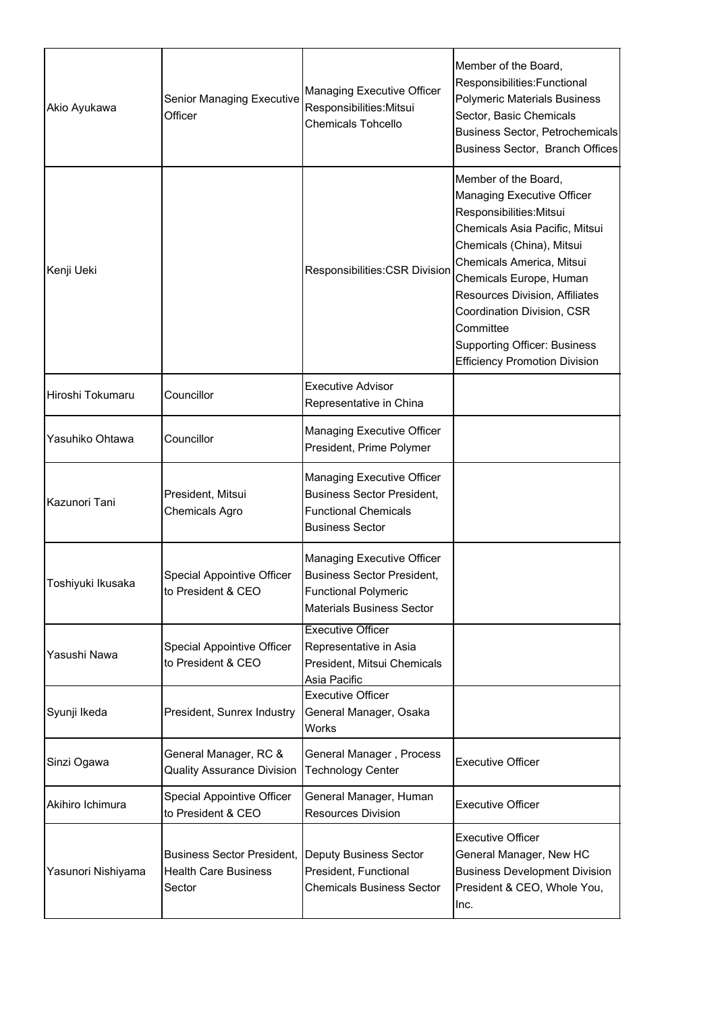| Akio Ayukawa       | <b>Senior Managing Executive</b><br>Officer                                | <b>Managing Executive Officer</b><br>Responsibilities: Mitsui<br><b>Chemicals Tohcello</b>                                                | Member of the Board,<br>Responsibilities: Functional<br><b>Polymeric Materials Business</b><br>Sector, Basic Chemicals<br>Business Sector, Petrochemicals<br>Business Sector, Branch Offices                                                                                                                                                                                    |
|--------------------|----------------------------------------------------------------------------|-------------------------------------------------------------------------------------------------------------------------------------------|---------------------------------------------------------------------------------------------------------------------------------------------------------------------------------------------------------------------------------------------------------------------------------------------------------------------------------------------------------------------------------|
| Kenji Ueki         |                                                                            | Responsibilities: CSR Division                                                                                                            | Member of the Board,<br><b>Managing Executive Officer</b><br>Responsibilities: Mitsui<br>Chemicals Asia Pacific, Mitsui<br>Chemicals (China), Mitsui<br>Chemicals America, Mitsui<br>Chemicals Europe, Human<br><b>Resources Division, Affiliates</b><br>Coordination Division, CSR<br>Committee<br><b>Supporting Officer: Business</b><br><b>Efficiency Promotion Division</b> |
| Hiroshi Tokumaru   | Councillor                                                                 | <b>Executive Advisor</b><br>Representative in China                                                                                       |                                                                                                                                                                                                                                                                                                                                                                                 |
| Yasuhiko Ohtawa    | Councillor                                                                 | <b>Managing Executive Officer</b><br>President, Prime Polymer                                                                             |                                                                                                                                                                                                                                                                                                                                                                                 |
| Kazunori Tani      | President, Mitsui<br><b>Chemicals Agro</b>                                 | <b>Managing Executive Officer</b><br><b>Business Sector President,</b><br><b>Functional Chemicals</b><br><b>Business Sector</b>           |                                                                                                                                                                                                                                                                                                                                                                                 |
| Toshiyuki Ikusaka  | <b>Special Appointive Officer</b><br>to President & CEO                    | <b>Managing Executive Officer</b><br><b>Business Sector President,</b><br><b>Functional Polymeric</b><br><b>Materials Business Sector</b> |                                                                                                                                                                                                                                                                                                                                                                                 |
| Yasushi Nawa       | <b>Special Appointive Officer</b><br>to President & CEO                    | <b>Executive Officer</b><br>Representative in Asia<br>President, Mitsui Chemicals<br>Asia Pacific                                         |                                                                                                                                                                                                                                                                                                                                                                                 |
| Syunji Ikeda       | President, Sunrex Industry                                                 | <b>Executive Officer</b><br>General Manager, Osaka<br><b>Works</b>                                                                        |                                                                                                                                                                                                                                                                                                                                                                                 |
| Sinzi Ogawa        | General Manager, RC &<br><b>Quality Assurance Division</b>                 | General Manager, Process<br><b>Technology Center</b>                                                                                      | <b>Executive Officer</b>                                                                                                                                                                                                                                                                                                                                                        |
| Akihiro Ichimura   | <b>Special Appointive Officer</b><br>to President & CEO                    | General Manager, Human<br><b>Resources Division</b>                                                                                       | <b>Executive Officer</b>                                                                                                                                                                                                                                                                                                                                                        |
| Yasunori Nishiyama | <b>Business Sector President,</b><br><b>Health Care Business</b><br>Sector | <b>Deputy Business Sector</b><br>President, Functional<br><b>Chemicals Business Sector</b>                                                | <b>Executive Officer</b><br>General Manager, New HC<br><b>Business Development Division</b><br>President & CEO, Whole You,<br>Inc.                                                                                                                                                                                                                                              |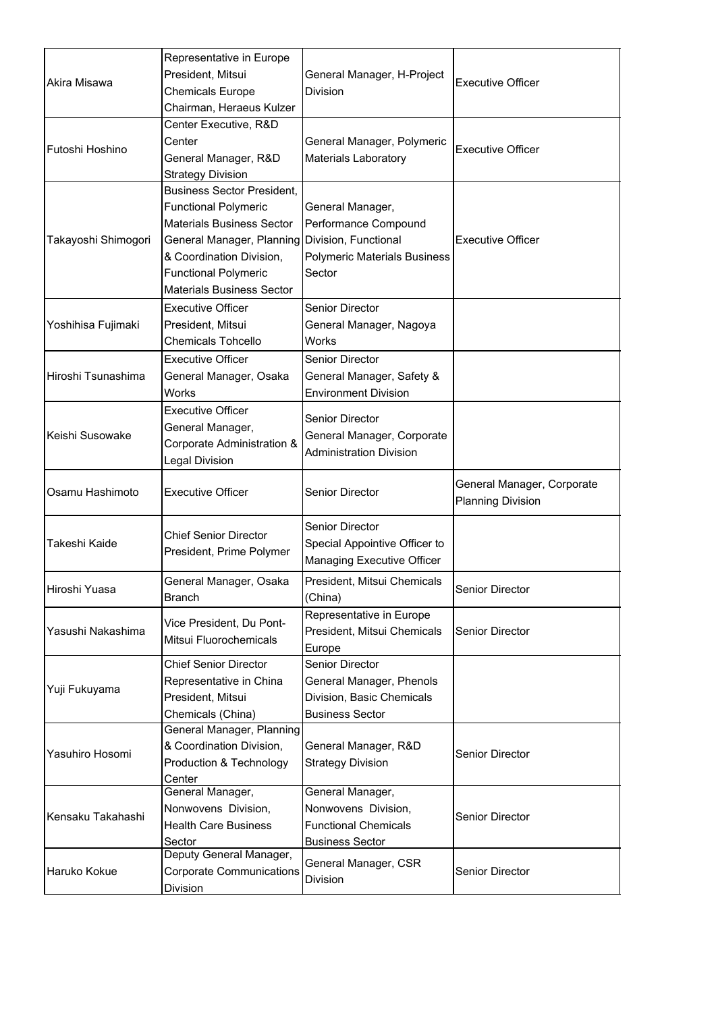|                     | Representative in Europe                         |                                         |                                                        |
|---------------------|--------------------------------------------------|-----------------------------------------|--------------------------------------------------------|
| Akira Misawa        | President, Mitsui                                | General Manager, H-Project              |                                                        |
|                     | <b>Chemicals Europe</b>                          | <b>Division</b>                         | <b>Executive Officer</b>                               |
|                     | Chairman, Heraeus Kulzer                         |                                         |                                                        |
|                     | Center Executive, R&D                            |                                         |                                                        |
|                     | Center                                           | General Manager, Polymeric              |                                                        |
| Futoshi Hoshino     | General Manager, R&D                             | <b>Materials Laboratory</b>             | <b>Executive Officer</b>                               |
|                     | <b>Strategy Division</b>                         |                                         |                                                        |
|                     | <b>Business Sector President,</b>                |                                         |                                                        |
|                     | <b>Functional Polymeric</b>                      | General Manager,                        |                                                        |
|                     | <b>Materials Business Sector</b>                 | Performance Compound                    |                                                        |
| Takayoshi Shimogori | General Manager, Planning   Division, Functional |                                         | <b>Executive Officer</b>                               |
|                     | & Coordination Division,                         | <b>Polymeric Materials Business</b>     |                                                        |
|                     | <b>Functional Polymeric</b>                      | Sector                                  |                                                        |
|                     | <b>Materials Business Sector</b>                 |                                         |                                                        |
|                     | <b>Executive Officer</b>                         | <b>Senior Director</b>                  |                                                        |
| Yoshihisa Fujimaki  | President, Mitsui                                | General Manager, Nagoya                 |                                                        |
|                     | <b>Chemicals Tohcello</b>                        | <b>Works</b>                            |                                                        |
|                     | <b>Executive Officer</b>                         | <b>Senior Director</b>                  |                                                        |
| Hiroshi Tsunashima  | General Manager, Osaka                           | General Manager, Safety &               |                                                        |
|                     | <b>Works</b>                                     | <b>Environment Division</b>             |                                                        |
|                     | <b>Executive Officer</b>                         |                                         |                                                        |
|                     | General Manager,                                 | <b>Senior Director</b>                  |                                                        |
| Keishi Susowake     | Corporate Administration &                       | General Manager, Corporate              |                                                        |
|                     | <b>Legal Division</b>                            | <b>Administration Division</b>          |                                                        |
|                     |                                                  |                                         |                                                        |
| Osamu Hashimoto     | <b>Executive Officer</b>                         | <b>Senior Director</b>                  | General Manager, Corporate<br><b>Planning Division</b> |
|                     |                                                  |                                         |                                                        |
|                     | <b>Chief Senior Director</b>                     | <b>Senior Director</b>                  |                                                        |
| Takeshi Kaide       | President, Prime Polymer                         | Special Appointive Officer to           |                                                        |
|                     |                                                  | Managing Executive Officer              |                                                        |
| Hiroshi Yuasa       | General Manager, Osaka                           | President, Mitsui Chemicals             | <b>Senior Director</b>                                 |
|                     | <b>Branch</b>                                    | (China)                                 |                                                        |
|                     | Vice President, Du Pont-                         | Representative in Europe                |                                                        |
| Yasushi Nakashima   | Mitsui Fluorochemicals                           | President, Mitsui Chemicals             | <b>Senior Director</b>                                 |
|                     |                                                  | Europe                                  |                                                        |
|                     | <b>Chief Senior Director</b>                     | <b>Senior Director</b>                  |                                                        |
| Yuji Fukuyama       | Representative in China                          | General Manager, Phenols                |                                                        |
|                     | President, Mitsui                                | Division, Basic Chemicals               |                                                        |
|                     | Chemicals (China)                                | <b>Business Sector</b>                  |                                                        |
|                     | General Manager, Planning                        |                                         |                                                        |
| Yasuhiro Hosomi     | & Coordination Division,                         | General Manager, R&D                    | <b>Senior Director</b>                                 |
|                     | <b>Production &amp; Technology</b><br>Center     | <b>Strategy Division</b>                |                                                        |
|                     | General Manager,                                 | General Manager,                        |                                                        |
|                     | Nonwovens Division,                              | Nonwovens Division,                     |                                                        |
| Kensaku Takahashi   | <b>Health Care Business</b>                      | <b>Functional Chemicals</b>             | <b>Senior Director</b>                                 |
|                     | Sector                                           | <b>Business Sector</b>                  |                                                        |
|                     | Deputy General Manager,                          |                                         |                                                        |
| Haruko Kokue        | <b>Corporate Communications</b><br>Division      | General Manager, CSR<br><b>Division</b> | <b>Senior Director</b>                                 |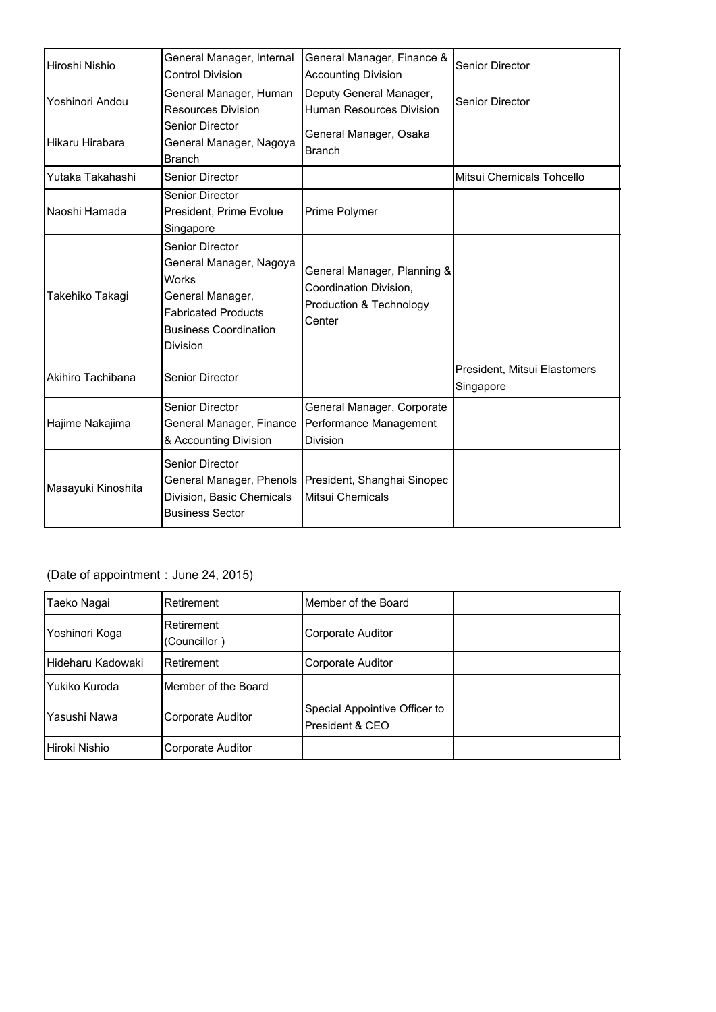| Hiroshi Nishio     | General Manager, Internal<br><b>Control Division</b>                                                                                                                   | General Manager, Finance &<br><b>Accounting Division</b>                                              | <b>Senior Director</b>                    |
|--------------------|------------------------------------------------------------------------------------------------------------------------------------------------------------------------|-------------------------------------------------------------------------------------------------------|-------------------------------------------|
| Yoshinori Andou    | General Manager, Human<br><b>Resources Division</b>                                                                                                                    | Deputy General Manager,<br><b>Human Resources Division</b>                                            | <b>Senior Director</b>                    |
| Hikaru Hirabara    | <b>Senior Director</b><br>General Manager, Nagoya<br><b>Branch</b>                                                                                                     | General Manager, Osaka<br><b>Branch</b>                                                               |                                           |
| Yutaka Takahashi   | <b>Senior Director</b>                                                                                                                                                 |                                                                                                       | Mitsui Chemicals Tohcello                 |
| Naoshi Hamada      | <b>Senior Director</b><br>President, Prime Evolue<br>Singapore                                                                                                         | Prime Polymer                                                                                         |                                           |
| Takehiko Takagi    | <b>Senior Director</b><br>General Manager, Nagoya<br><b>Works</b><br>General Manager,<br><b>Fabricated Products</b><br><b>Business Coordination</b><br><b>Division</b> | General Manager, Planning &<br>Coordination Division,<br><b>Production &amp; Technology</b><br>Center |                                           |
| Akihiro Tachibana  | <b>Senior Director</b>                                                                                                                                                 |                                                                                                       | President, Mitsui Elastomers<br>Singapore |
| Hajime Nakajima    | <b>Senior Director</b><br>General Manager, Finance<br>& Accounting Division                                                                                            | General Manager, Corporate<br>Performance Management<br><b>Division</b>                               |                                           |
| Masayuki Kinoshita | <b>Senior Director</b><br>General Manager, Phenols<br>Division, Basic Chemicals<br><b>Business Sector</b>                                                              | President, Shanghai Sinopec<br>Mitsui Chemicals                                                       |                                           |

## (Date of appointment: June 24, 2015)

| Taeko Nagai       | Retirement                 | Member of the Board                              |  |
|-------------------|----------------------------|--------------------------------------------------|--|
| Yoshinori Koga    | Retirement<br>(Councillor) | <b>Corporate Auditor</b>                         |  |
| Hideharu Kadowaki | <b>Retirement</b>          | <b>Corporate Auditor</b>                         |  |
| Yukiko Kuroda     | Member of the Board        |                                                  |  |
| Yasushi Nawa      | <b>Corporate Auditor</b>   | Special Appointive Officer to<br>President & CEO |  |
| Hiroki Nishio     | Corporate Auditor          |                                                  |  |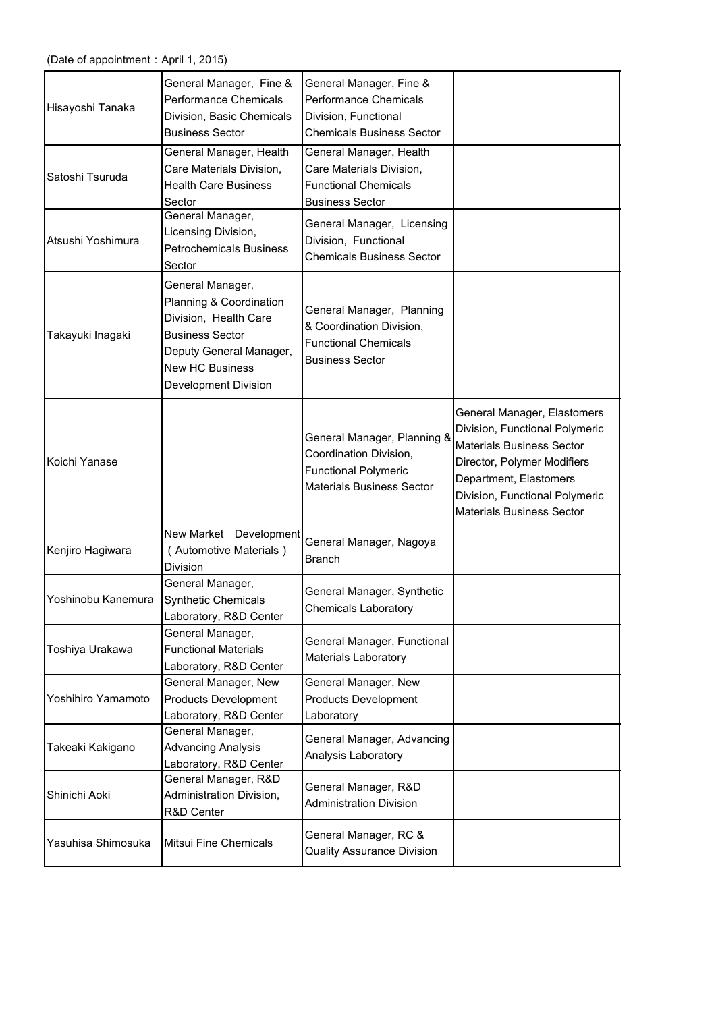| Hisayoshi Tanaka   | General Manager, Fine &<br><b>Performance Chemicals</b><br>Division, Basic Chemicals<br><b>Business Sector</b>                                                                     | General Manager, Fine &<br><b>Performance Chemicals</b><br>Division, Functional<br><b>Chemicals Business Sector</b>      |                                                                                                                                                                                                                                  |
|--------------------|------------------------------------------------------------------------------------------------------------------------------------------------------------------------------------|--------------------------------------------------------------------------------------------------------------------------|----------------------------------------------------------------------------------------------------------------------------------------------------------------------------------------------------------------------------------|
| Satoshi Tsuruda    | General Manager, Health<br>Care Materials Division,<br><b>Health Care Business</b><br>Sector                                                                                       | General Manager, Health<br>Care Materials Division,<br><b>Functional Chemicals</b><br><b>Business Sector</b>             |                                                                                                                                                                                                                                  |
| Atsushi Yoshimura  | General Manager,<br>Licensing Division,<br><b>Petrochemicals Business</b><br>Sector                                                                                                | General Manager, Licensing<br>Division, Functional<br><b>Chemicals Business Sector</b>                                   |                                                                                                                                                                                                                                  |
| Takayuki Inagaki   | General Manager,<br>Planning & Coordination<br>Division, Health Care<br><b>Business Sector</b><br>Deputy General Manager,<br><b>New HC Business</b><br><b>Development Division</b> | General Manager, Planning<br>& Coordination Division,<br><b>Functional Chemicals</b><br><b>Business Sector</b>           |                                                                                                                                                                                                                                  |
| Koichi Yanase      |                                                                                                                                                                                    | General Manager, Planning &<br>Coordination Division,<br><b>Functional Polymeric</b><br><b>Materials Business Sector</b> | General Manager, Elastomers<br>Division, Functional Polymeric<br><b>Materials Business Sector</b><br>Director, Polymer Modifiers<br>Department, Elastomers<br>Division, Functional Polymeric<br><b>Materials Business Sector</b> |
| Kenjiro Hagiwara   | New Market Development<br>(Automotive Materials)<br>Division                                                                                                                       | General Manager, Nagoya<br><b>Branch</b>                                                                                 |                                                                                                                                                                                                                                  |
| Yoshinobu Kanemura | General Manager,<br><b>Synthetic Chemicals</b><br>Laboratory, R&D Center                                                                                                           | General Manager, Synthetic<br><b>Chemicals Laboratory</b>                                                                |                                                                                                                                                                                                                                  |
| Toshiya Urakawa    | General Manager,<br><b>Functional Materials</b><br>Laboratory, R&D Center                                                                                                          | General Manager, Functional<br><b>Materials Laboratory</b>                                                               |                                                                                                                                                                                                                                  |
| Yoshihiro Yamamoto | General Manager, New<br><b>Products Development</b><br>Laboratory, R&D Center                                                                                                      | General Manager, New<br><b>Products Development</b><br>Laboratory                                                        |                                                                                                                                                                                                                                  |
| Takeaki Kakigano   | General Manager,<br><b>Advancing Analysis</b><br>Laboratory, R&D Center                                                                                                            | General Manager, Advancing<br>Analysis Laboratory                                                                        |                                                                                                                                                                                                                                  |
| Shinichi Aoki      | General Manager, R&D<br>Administration Division,<br>R&D Center                                                                                                                     | General Manager, R&D<br><b>Administration Division</b>                                                                   |                                                                                                                                                                                                                                  |
| Yasuhisa Shimosuka | <b>Mitsui Fine Chemicals</b>                                                                                                                                                       | General Manager, RC &<br><b>Quality Assurance Division</b>                                                               |                                                                                                                                                                                                                                  |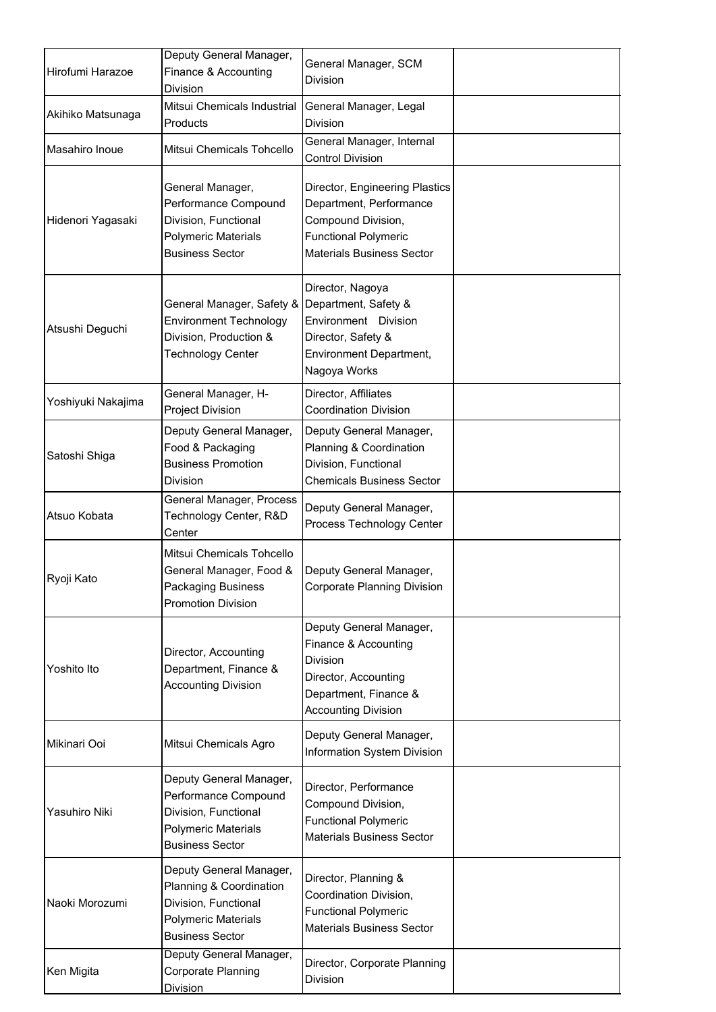| Hirofumi Harazoe   | Deputy General Manager,<br>Finance & Accounting<br><b>Division</b>                                                                 | General Manager, SCM<br><b>Division</b>                                                                                                            |  |
|--------------------|------------------------------------------------------------------------------------------------------------------------------------|----------------------------------------------------------------------------------------------------------------------------------------------------|--|
| Akihiko Matsunaga  | Mitsui Chemicals Industrial<br>Products                                                                                            | General Manager, Legal<br><b>Division</b>                                                                                                          |  |
| Masahiro Inoue     | Mitsui Chemicals Tohcello                                                                                                          | General Manager, Internal<br><b>Control Division</b>                                                                                               |  |
| Hidenori Yagasaki  | General Manager,<br>Performance Compound<br>Division, Functional<br><b>Polymeric Materials</b><br><b>Business Sector</b>           | Director, Engineering Plastics<br>Department, Performance<br>Compound Division,<br><b>Functional Polymeric</b><br><b>Materials Business Sector</b> |  |
| Atsushi Deguchi    | General Manager, Safety &<br><b>Environment Technology</b><br>Division, Production &<br><b>Technology Center</b>                   | Director, Nagoya<br>Department, Safety &<br>Environment Division<br>Director, Safety &<br><b>Environment Department,</b><br>Nagoya Works           |  |
| Yoshiyuki Nakajima | General Manager, H-<br><b>Project Division</b>                                                                                     | Director, Affiliates<br><b>Coordination Division</b>                                                                                               |  |
| Satoshi Shiga      | Deputy General Manager,<br>Food & Packaging<br><b>Business Promotion</b><br><b>Division</b>                                        | Deputy General Manager,<br>Planning & Coordination<br>Division, Functional<br><b>Chemicals Business Sector</b>                                     |  |
| Atsuo Kobata       | General Manager, Process<br>Technology Center, R&D<br>Center                                                                       | Deputy General Manager,<br>Process Technology Center                                                                                               |  |
| Ryoji Kato         | Mitsui Chemicals Tohcello<br>General Manager, Food &<br><b>Packaging Business</b><br><b>Promotion Division</b>                     | Deputy General Manager,<br><b>Corporate Planning Division</b>                                                                                      |  |
| Yoshito Ito        | Director, Accounting<br>Department, Finance &<br><b>Accounting Division</b>                                                        | Deputy General Manager,<br>Finance & Accounting<br><b>Division</b><br>Director, Accounting<br>Department, Finance &<br><b>Accounting Division</b>  |  |
| Mikinari Ooi       | Mitsui Chemicals Agro                                                                                                              | Deputy General Manager,<br><b>Information System Division</b>                                                                                      |  |
| Yasuhiro Niki      | Deputy General Manager,<br>Performance Compound<br>Division, Functional<br><b>Polymeric Materials</b><br><b>Business Sector</b>    | Director, Performance<br>Compound Division,<br><b>Functional Polymeric</b><br><b>Materials Business Sector</b>                                     |  |
| Naoki Morozumi     | Deputy General Manager,<br>Planning & Coordination<br>Division, Functional<br><b>Polymeric Materials</b><br><b>Business Sector</b> | Director, Planning &<br>Coordination Division,<br><b>Functional Polymeric</b><br><b>Materials Business Sector</b>                                  |  |
| Ken Migita         | Deputy General Manager,<br>Corporate Planning<br><b>Division</b>                                                                   | Director, Corporate Planning<br><b>Division</b>                                                                                                    |  |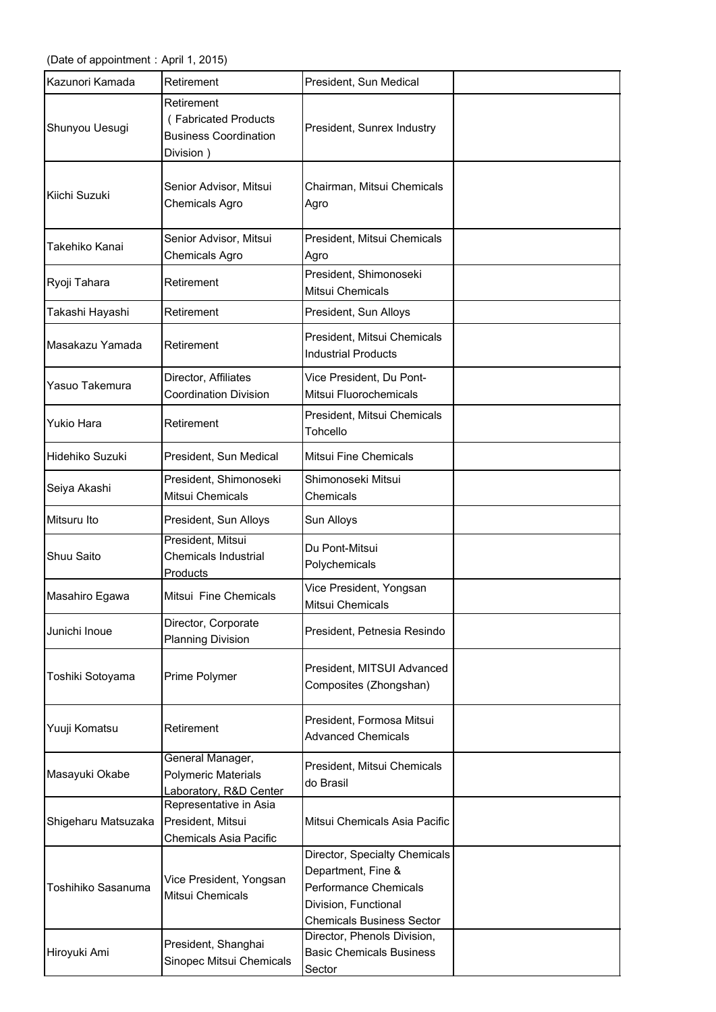(Date of appointment: April 1, 2015)

| İKazunori Kamada    | Retirement                                                                      | President, Sun Medical                                                                                                                          |  |
|---------------------|---------------------------------------------------------------------------------|-------------------------------------------------------------------------------------------------------------------------------------------------|--|
| Shunyou Uesugi      | Retirement<br>(Fabricated Products<br><b>Business Coordination</b><br>Division) | President, Sunrex Industry                                                                                                                      |  |
| Kiichi Suzuki       | Senior Advisor, Mitsui<br>Chemicals Agro                                        | Chairman, Mitsui Chemicals<br>Agro                                                                                                              |  |
| Takehiko Kanai      | Senior Advisor, Mitsui<br>Chemicals Agro                                        | President, Mitsui Chemicals<br>Agro                                                                                                             |  |
| Ryoji Tahara        | Retirement                                                                      | President, Shimonoseki<br>Mitsui Chemicals                                                                                                      |  |
| Takashi Hayashi     | Retirement                                                                      | President, Sun Alloys                                                                                                                           |  |
| Masakazu Yamada     | Retirement                                                                      | President, Mitsui Chemicals<br><b>Industrial Products</b>                                                                                       |  |
| Yasuo Takemura      | Director, Affiliates<br><b>Coordination Division</b>                            | Vice President, Du Pont-<br>Mitsui Fluorochemicals                                                                                              |  |
| <b>Yukio Hara</b>   | Retirement                                                                      | President, Mitsui Chemicals<br>Tohcello                                                                                                         |  |
| Hidehiko Suzuki     | President, Sun Medical                                                          | <b>Mitsui Fine Chemicals</b>                                                                                                                    |  |
| Seiya Akashi        | President, Shimonoseki<br><b>Mitsui Chemicals</b>                               | Shimonoseki Mitsui<br>Chemicals                                                                                                                 |  |
| Mitsuru Ito         | President, Sun Alloys                                                           | <b>Sun Alloys</b>                                                                                                                               |  |
| Shuu Saito          | President, Mitsui<br><b>Chemicals Industrial</b><br>Products                    | Du Pont-Mitsui<br>Polychemicals                                                                                                                 |  |
| Masahiro Egawa      | Mitsui Fine Chemicals                                                           | Vice President, Yongsan<br>Mitsui Chemicals                                                                                                     |  |
| Junichi Inoue       | Director, Corporate<br><b>Planning Division</b>                                 | President, Petnesia Resindo                                                                                                                     |  |
| Toshiki Sotoyama    | Prime Polymer                                                                   | President, MITSUI Advanced<br>Composites (Zhongshan)                                                                                            |  |
| Yuuji Komatsu       | Retirement                                                                      | President, Formosa Mitsui<br><b>Advanced Chemicals</b>                                                                                          |  |
| Masayuki Okabe      | General Manager,<br><b>Polymeric Materials</b><br>Laboratory, R&D Center        | President, Mitsui Chemicals<br>do Brasil                                                                                                        |  |
| Shigeharu Matsuzaka | Representative in Asia<br>President, Mitsui<br><b>Chemicals Asia Pacific</b>    | Mitsui Chemicals Asia Pacific                                                                                                                   |  |
| Toshihiko Sasanuma  | Vice President, Yongsan<br><b>Mitsui Chemicals</b>                              | Director, Specialty Chemicals<br>Department, Fine &<br><b>Performance Chemicals</b><br>Division, Functional<br><b>Chemicals Business Sector</b> |  |
| Hiroyuki Ami        | President, Shanghai<br><b>Sinopec Mitsui Chemicals</b>                          | Director, Phenols Division,<br><b>Basic Chemicals Business</b><br>Sector                                                                        |  |